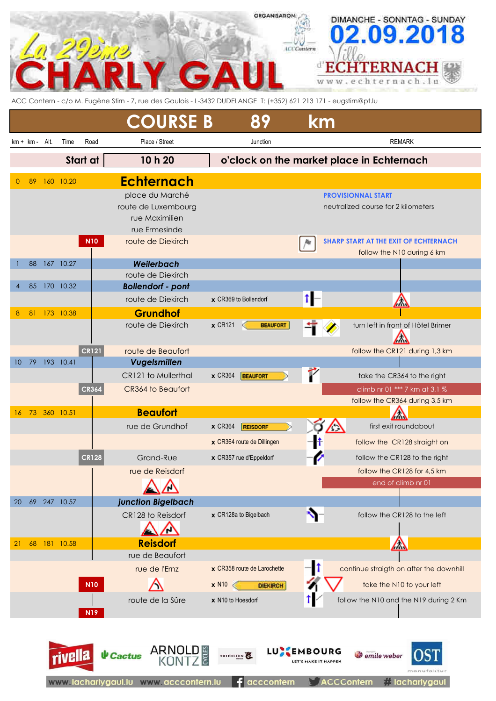|                 |             |      |              |              |                                                                                                                  | ORGANISATION                                 |                                       | DIMANCHE - SONNTAG - SUNDAY                      |
|-----------------|-------------|------|--------------|--------------|------------------------------------------------------------------------------------------------------------------|----------------------------------------------|---------------------------------------|--------------------------------------------------|
|                 |             |      |              |              |                                                                                                                  |                                              |                                       | 2.09.20                                          |
|                 |             |      |              |              |                                                                                                                  |                                              | <b>LCCContern</b>                     |                                                  |
|                 |             |      |              |              |                                                                                                                  |                                              |                                       |                                                  |
|                 |             |      |              |              |                                                                                                                  |                                              |                                       | <b>ERNAC</b>                                     |
|                 |             |      |              |              |                                                                                                                  |                                              |                                       | www.echternach                                   |
|                 |             |      |              |              | ACC Contern - c/o M. Eugène Stirn - 7, rue des Gaulois - L-3432 DUDELANGE T: (+352) 621 213 171 - eugstirn@pt.lu |                                              |                                       |                                                  |
|                 |             |      |              |              |                                                                                                                  |                                              |                                       |                                                  |
|                 |             |      |              |              | <b>COURSE B</b>                                                                                                  | 89                                           | km                                    |                                                  |
|                 | $km + km -$ | Alt. | Time         | Road         | Place / Street                                                                                                   | Junction                                     |                                       | <b>REMARK</b>                                    |
|                 |             |      |              |              |                                                                                                                  |                                              |                                       |                                                  |
|                 |             |      |              | Start at     | 10 h 20                                                                                                          |                                              |                                       | o'clock on the market place in Echternach        |
| $\Omega$        | 89          |      | 160 10.20    |              | <b>Echternach</b>                                                                                                |                                              |                                       |                                                  |
|                 |             |      |              |              | place du Marché                                                                                                  |                                              |                                       | <b>PROVISIONNAL START</b>                        |
|                 |             |      |              |              | route de Luxembourg                                                                                              |                                              |                                       | neutralized course for 2 kilometers              |
|                 |             |      |              |              | rue Maximilien                                                                                                   |                                              |                                       |                                                  |
|                 |             |      |              |              | rue Ermesinde                                                                                                    |                                              |                                       |                                                  |
|                 |             |      |              | <b>N10</b>   | route de Diekirch                                                                                                |                                              |                                       | <b>SHARP START AT THE EXIT OF ECHTERNACH</b>     |
|                 |             |      |              |              |                                                                                                                  |                                              |                                       | follow the N10 during 6 km                       |
|                 | 88          |      | 167 10.27    |              | Weilerbach                                                                                                       |                                              |                                       |                                                  |
|                 |             |      |              |              | route de Diekirch                                                                                                |                                              |                                       |                                                  |
|                 | 85          |      | 170 10.32    |              | <b>Bollendorf - pont</b>                                                                                         |                                              |                                       |                                                  |
|                 |             |      |              |              | route de Diekirch                                                                                                | x CR369 to Bollendorf                        | tŀ                                    | △                                                |
| 8               | 81          |      | 173 10.38    |              | <b>Grundhof</b>                                                                                                  |                                              |                                       |                                                  |
|                 |             |      |              |              | route de Diekirch                                                                                                | $x$ CR121<br><b>BEAUFORT</b>                 |                                       | turn left in front of Hôtel Brimer<br>$\sqrt{ }$ |
|                 |             |      |              | CR121        | route de Beaufort                                                                                                |                                              |                                       | follow the CR121 during 1,3 km                   |
| 10 <sup>°</sup> | -79         |      | 193 10.41    |              | Vugelsmillen                                                                                                     |                                              |                                       |                                                  |
|                 |             |      |              |              | CR121 to Mullerthal                                                                                              | $\times$ CR364<br><b>BEAUFORT</b>            |                                       | take the CR364 to the right                      |
|                 |             |      |              | <b>CR364</b> | CR364 to Beaufort                                                                                                |                                              |                                       | climb nr 01 *** 7 km at 3,1 %                    |
|                 |             |      |              |              |                                                                                                                  |                                              |                                       | follow the CR364 during 3,5 km                   |
| 16              |             |      | 73 360 10.51 |              | <b>Beaufort</b>                                                                                                  |                                              |                                       | $\sqrt{}$                                        |
|                 |             |      |              |              | rue de Grundhof                                                                                                  | <b>x</b> CR364<br><b>REISDORF</b>            |                                       | first exit roundabout<br>$\sqrt{2}$              |
|                 |             |      |              |              |                                                                                                                  | x CR364 route de Dillingen                   |                                       | follow the CR128 straight on                     |
|                 |             |      |              | <b>CR128</b> | Grand-Rue                                                                                                        | x CR357 rue d'Eppeldorf                      |                                       | follow the CR128 to the right                    |
|                 |             |      |              |              | rue de Reisdorf                                                                                                  |                                              |                                       | follow the CR128 for 4,5 km                      |
|                 |             |      |              |              |                                                                                                                  |                                              |                                       | end of climb nr 01                               |
|                 |             |      |              |              |                                                                                                                  |                                              |                                       |                                                  |
| 20              | 69          |      | 247 10.57    |              | junction Bigelbach                                                                                               |                                              |                                       |                                                  |
|                 |             |      |              |              | CR128 to Reisdorf                                                                                                | x CR128a to Bigelbach                        |                                       | follow the CR128 to the left                     |
|                 |             |      |              |              |                                                                                                                  |                                              |                                       |                                                  |
| 21              | 68          |      | 181 10.58    |              | <b>Reisdorf</b>                                                                                                  |                                              |                                       | △                                                |
|                 |             |      |              |              | rue de Beaufort                                                                                                  |                                              |                                       |                                                  |
|                 |             |      |              |              | rue de l'Ernz                                                                                                    | x CR358 route de Larochette                  | -11                                   | continue straigth on after the downhill          |
|                 |             |      |              | <b>N10</b>   |                                                                                                                  | <b>x</b> N <sub>1</sub> 0<br><b>DIEKIRCH</b> |                                       | take the N10 to your left                        |
|                 |             |      |              |              | route de la Sûre                                                                                                 | x N10 to Hoesdorf                            |                                       | follow the N10 and the N19 during 2 Km           |
|                 |             |      |              | <b>N19</b>   |                                                                                                                  |                                              |                                       |                                                  |
|                 |             |      |              |              |                                                                                                                  |                                              |                                       |                                                  |
|                 |             |      |              |              |                                                                                                                  |                                              |                                       |                                                  |
|                 |             |      |              |              | ARNO<br>KON<br><b>CYCLES</b><br><b>V</b> Cactus                                                                  | LU)<br>TRIFOLION                             | <b>MBOURG</b><br>LET'S MAKE IT HAPPEN | <b><i>Semile</i></b> weber                       |
|                 |             |      |              |              |                                                                                                                  |                                              |                                       | manufaktur                                       |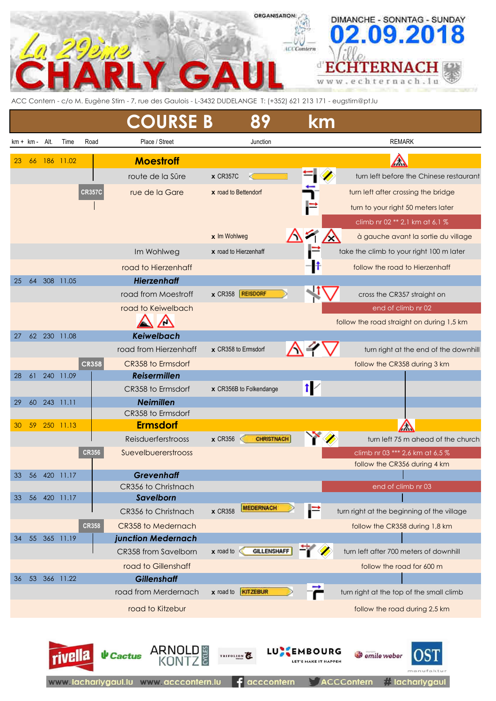## **ORGANISATION:** DIMANCHE - SONNTAG - SUNDAY **ACCGmtern** ď **HTERNACH** Е nach.lu  $\alpha$ W W

ACC Contern - c/o M. Eugène Stirn - 7, rue des Gaulois - L-3432 DUDELANGE T: (+352) 621 213 171 - eugstirn@pt.lu

|             |    |      |           |               | <b>COURSE B</b>       | 89                                 | km                                    |                                                                 |
|-------------|----|------|-----------|---------------|-----------------------|------------------------------------|---------------------------------------|-----------------------------------------------------------------|
| $km + km -$ |    | Alt. | Time      | Road          | Place / Street        | Junction                           |                                       | <b>REMARK</b>                                                   |
| 23          | 66 |      | 186 11.02 |               | <b>Moestroff</b>      |                                    |                                       | $\bigtriangleup$                                                |
|             |    |      |           |               | route de la Sûre      | $\times$ CR357C                    |                                       | turn left before the Chinese restaurant                         |
|             |    |      |           | <b>CR357C</b> | rue de la Gare        | x road to Bettendorf               |                                       | turn left after crossing the bridge                             |
|             |    |      |           |               |                       |                                    |                                       | turn to your right 50 meters later                              |
|             |    |      |           |               |                       |                                    |                                       | climb nr 02 ** 2,1 km at 6,1 %                                  |
|             |    |      |           |               |                       | x Im Wohlweg                       |                                       | à gauche avant la sortie du village                             |
|             |    |      |           |               | Im Wohlweg            | x road to Hierzenhaff              |                                       | take the climb to your right 100 m later                        |
|             |    |      |           |               | road to Hierzenhaff   |                                    |                                       | follow the road to Hierzenhaff                                  |
| 25          | 64 |      | 308 11.05 |               | <b>Hierzenhaff</b>    |                                    |                                       |                                                                 |
|             |    |      |           |               | road from Moestroff   | x CR358 <b>REISDORF</b>            |                                       | cross the CR357 straight on                                     |
|             |    |      |           |               | road to Keiwelbach    |                                    |                                       | end of climb nr 02                                              |
|             |    |      |           |               | ⁄٣                    |                                    |                                       | follow the road straight on during 1,5 km                       |
| 27          | 62 |      | 230 11.08 |               | <b>Keiwelbach</b>     |                                    |                                       |                                                                 |
|             |    |      |           |               | road from Hierzenhaff | x CR358 to Ermsdorf                |                                       | turn right at the end of the downhill                           |
|             |    |      |           | <b>CR358</b>  | CR358 to Ermsdorf     |                                    |                                       | follow the CR358 during 3 km                                    |
| 28          | 61 | 240  | 11.09     |               | <b>Reisermillen</b>   |                                    |                                       |                                                                 |
|             |    |      |           |               | CR358 to Ermsdorf     | x CR356B to Folkendange            | 14                                    |                                                                 |
| 29          | 60 |      | 243 11.11 |               | <b>Neimillen</b>      |                                    |                                       |                                                                 |
|             |    |      |           |               | CR358 to Ermsdorf     |                                    |                                       |                                                                 |
| 30          | 59 |      | 250 11.13 |               | <b>Ermsdorf</b>       |                                    |                                       |                                                                 |
|             |    |      |           |               | Reisduerferstrooss    | $x$ CR356<br><b>CHRISTNACH</b>     |                                       | turn left 75 m ahead of the church                              |
|             |    |      |           | <b>CR356</b>  | Suevelbuererstrooss   |                                    |                                       | climb nr 03 *** 2,6 km at 6,5 %<br>follow the CR356 during 4 km |
| 33          | 56 | 420  | 11.17     |               | <b>Grevenhaff</b>     |                                    |                                       |                                                                 |
|             |    |      |           |               | CR356 to Christnach   |                                    |                                       | end of climb nr 03                                              |
| 33          | 56 |      | 420 11.17 |               | Savelborn             |                                    |                                       |                                                                 |
|             |    |      |           |               | CR356 to Christnach   | <b>MEDERNACH</b><br><b>x</b> CR358 |                                       | turn right at the beginning of the village                      |
|             |    |      |           | <b>CR358</b>  | CR358 to Medernach    |                                    |                                       | follow the CR358 during 1,8 km                                  |
| 34          | 55 |      | 365 11.19 |               | junction Medernach    |                                    |                                       |                                                                 |
|             |    |      |           |               | CR358 from Savelborn  | <b>GILLENSHAFF</b><br>$x$ road to  |                                       | turn left after 700 meters of downhill                          |
|             |    |      |           |               | road to Gillenshaff   |                                    |                                       | follow the road for 600 m                                       |
| 36          | 53 |      | 366 11.22 |               | <b>Gillenshaff</b>    |                                    |                                       |                                                                 |
|             |    |      |           |               | road from Merdernach  | x road to <b>KITZEBUR</b>          |                                       | turn right at the top of the small climb                        |
|             |    |      |           |               | road to Kitzebur      |                                    |                                       | follow the road during 2,5 km                                   |
|             |    |      | rivella   |               | ARNO<br>$\psi$ Cactus | TRIFOLION                          | MBOURG<br><b>LET'S MAKE IT HAPPEN</b> | emile weber                                                     |

Ed

acccontern

www.lachariygaul.lu www.acccontern.lu

**i** lacharlygaul

**ACCContern**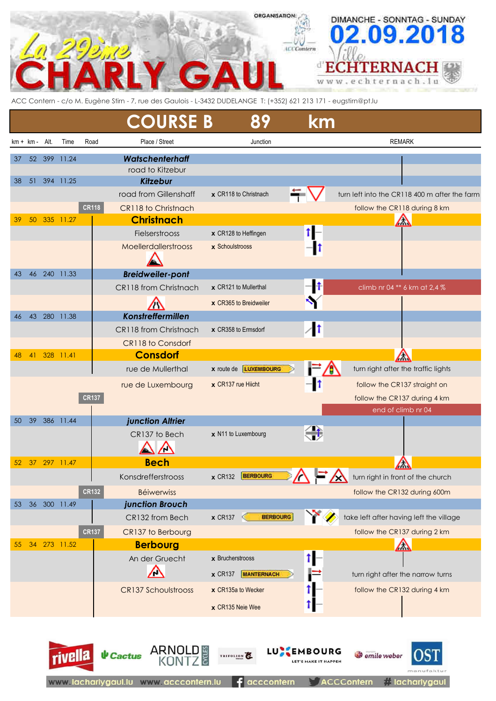

ACC Contern - c/o M. Eugène Stirn - 7, rue des Gaulois - L-3432 DUDELANGE T: (+352) 621 213 171 - eugstirn@pt.lu

|          |             |        |                    |              | <b>COURSE B</b>                                               | 89                                                        | km                                   |                                                                               |
|----------|-------------|--------|--------------------|--------------|---------------------------------------------------------------|-----------------------------------------------------------|--------------------------------------|-------------------------------------------------------------------------------|
|          | $km + km -$ | Alt.   | Time               | Road         | Place / Street                                                | Junction                                                  |                                      | <b>REMARK</b>                                                                 |
| 37<br>38 | 51          | 52 399 | 11.24<br>394 11.25 |              | <b>Watschenterhaff</b><br>road to Kitzebur<br><b>Kitzebur</b> |                                                           |                                      |                                                                               |
|          |             |        |                    | <b>CR118</b> | road from Gillenshaff<br>CR118 to Christnach                  | x CR118 to Christnach                                     | 5                                    | turn left into the CR118 400 m after the farm<br>follow the CR118 during 8 km |
| 39       | 50          | 335    | 11.27              |              | <b>Christnach</b>                                             |                                                           |                                      | $\triangle$                                                                   |
|          |             |        |                    |              | Fielserstrooss                                                | x CR128 to Heffingen                                      | 1⊩                                   |                                                                               |
|          |             |        |                    |              | Moellerdallerstrooss                                          | x Schoulstrooss                                           |                                      |                                                                               |
| 43       | 46          |        | 240 11.33          |              | <b>Breidweiler-pont</b>                                       |                                                           |                                      |                                                                               |
|          |             |        |                    |              | CR118 from Christnach                                         | x CR121 to Mullerthal                                     | $\vert \textbf{f} \vert$             | climb nr 04 ** 6 km at 2,4 %                                                  |
|          |             |        |                    |              |                                                               | x CR365 to Breidweiler                                    |                                      |                                                                               |
| 46       | 43          |        | 280 11.38          |              | Konstreffermillen                                             |                                                           |                                      |                                                                               |
|          |             |        |                    |              | CR118 from Christnach                                         | x CR358 to Ermsdorf                                       | $\sqrt{1}$                           |                                                                               |
|          |             |        |                    |              | CR118 to Consdorf                                             |                                                           |                                      |                                                                               |
| 48       | 41          |        | 328 11.41          |              | <b>Consdorf</b>                                               |                                                           |                                      | $\sqrt{}$                                                                     |
|          |             |        |                    |              | rue de Mullerthal                                             | x route de LUXEMBOURG                                     |                                      | turn right after the traffic lights                                           |
|          |             |        |                    |              | rue de Luxembourg                                             | x CR137 rue Hiicht                                        | IT                                   | follow the CR137 straight on                                                  |
|          |             |        |                    | <b>CR137</b> |                                                               |                                                           |                                      | follow the CR137 during 4 km                                                  |
|          |             |        |                    |              |                                                               |                                                           |                                      | end of climb nr 04                                                            |
| 50       | 39          |        | 386 11.44          |              | junction Altrier                                              |                                                           |                                      |                                                                               |
|          |             |        |                    |              | CR137 to Bech<br>╱╲                                           | x N11 to Luxembourg                                       | 荨                                    |                                                                               |
| 52       | 37          |        | 297 11.47          |              | <b>Bech</b>                                                   |                                                           |                                      |                                                                               |
|          |             |        |                    |              | Konsdrefferstrooss                                            | <b>BERBOURG</b><br>$\times$ CR132                         |                                      | turn right in front of the church                                             |
|          |             |        |                    | <b>CR132</b> | <b>Béiwerwiss</b>                                             |                                                           |                                      | follow the CR132 during 600m                                                  |
| 53       | 36          |        | 300 11.49          |              | junction Brouch                                               |                                                           |                                      |                                                                               |
|          |             |        |                    |              | CR132 from Bech                                               | $\times$ CR137<br><b>BERBOURG</b><br>⋖                    |                                      | take left after having left the village                                       |
|          |             |        |                    | <b>CR137</b> | CR137 to Berbourg                                             |                                                           |                                      | follow the CR137 during 2 km                                                  |
| 55       | 34          |        | 273 11.52          |              | <b>Berbourg</b>                                               |                                                           |                                      | △                                                                             |
|          |             |        |                    |              | An der Gruecht<br>╱╲                                          | $x$ Brucherstrooss<br>$\times$ CR137<br><b>MANTERNACH</b> | î.                                   | turn right after the narrow turns                                             |
|          |             |        |                    |              | <b>CR137 Schoulstrooss</b>                                    | x CR135a to Wecker<br>x CR135 Neie Wee                    |                                      | follow the CR132 during 4 km                                                  |
|          |             |        | <b>rivella</b>     |              | ARNOLD<br><b>V</b> Cactus                                     | TRIFOLION                                                 | <b>BOURG</b><br>LET'S MAKE IT HAPPEN | emile weber                                                                   |

 $f$  acccontern

# lacharlygaul

**ACCContern** 

www.lacharlygaul.lu www.acccontern.lu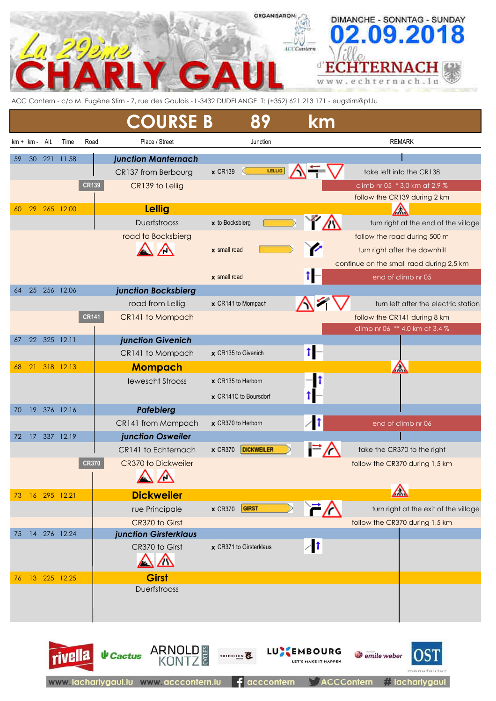## **ORGANISATION:** DIMANCHE - SONNTAG - SUNDAY 8 0 9.20 **ICCContern** ď **CHTERNACH** Е nach.lu ŧ е г W W h

ACC Contern - c/o M. Eugène Stirn - 7, rue des Gaulois - L-3432 DUDELANGE T: (+352) 621 213 171 - eugstirn@pt.lu

|    |                   |     |                 |              | <b>COURSE B</b>         | 89                                  | km         |                                          |
|----|-------------------|-----|-----------------|--------------|-------------------------|-------------------------------------|------------|------------------------------------------|
|    | $km + km - Alt$ . |     | Time            | Road         | Place / Street          | Junction                            |            | <b>REMARK</b>                            |
| 59 | 30                | 221 | 11.58           |              | junction Manternach     |                                     |            |                                          |
|    |                   |     |                 |              | CR137 from Berbourg     | LELLIG<br>$\times$ CR139            |            | take left into the CR138                 |
|    |                   |     |                 | <b>CR139</b> | CR139 to Lellig         |                                     |            | climb nr 05 * 3,0 km at 2,9 %            |
|    |                   |     |                 |              |                         |                                     |            | follow the CR139 during 2 km             |
| 60 | 29                |     | 265 12.00       |              | <b>Lellig</b>           |                                     |            | ╱╲                                       |
|    |                   |     |                 |              | <b>Duerfstrooss</b>     | x to Bocksbierg                     |            | turn right at the end of the village     |
|    |                   |     |                 |              | road to Bocksbierg      |                                     |            | follow the road during 500 m             |
|    |                   |     |                 |              |                         | $x$ small road                      |            | turn right after the downhill            |
|    |                   |     |                 |              |                         |                                     |            | continue on the small raod during 2,5 km |
| 64 | 25                |     | 256 12.06       |              | junction Bocksbierg     | $x$ small road                      |            | end of climb nr 05                       |
|    |                   |     |                 |              | road from Lellig        | x CR141 to Mompach                  |            | turn left after the electric station     |
|    |                   |     |                 | <b>CR141</b> | CR141 to Mompach        |                                     |            | follow the CR141 during 8 km             |
|    |                   |     |                 |              |                         |                                     |            | climb nr 06 ** 4,0 km at 3,4 %           |
| 67 |                   |     | 22 325 12.11    |              | junction Givenich       |                                     |            |                                          |
|    |                   |     |                 |              | CR141 to Mompach        | x CR135 to Givenich                 | t          |                                          |
| 68 | 21                |     | 318 12.13       |              | <b>Mompach</b>          |                                     |            | $\sqrt{}$                                |
|    |                   |     |                 |              | <b>Iewescht Strooss</b> | x CR135 to Herborn                  |            |                                          |
|    |                   |     |                 |              |                         | x CR141C to Boursdorf               |            |                                          |
| 70 |                   |     | 19 376 12.16    |              | <b>Pafebierg</b>        |                                     |            |                                          |
|    |                   |     |                 |              | CR141 from Mompach      | x CR370 to Herborn                  |            | end of climb nr 06                       |
| 72 | 17                |     | 337 12.19       |              | junction Osweiler       |                                     |            |                                          |
|    |                   |     |                 |              | CR141 to Echternach     | <b>DICKWEILER</b><br><b>x</b> CR370 |            | take the CR370 to the right              |
|    |                   |     |                 | <b>CR370</b> | CR370 to Dickweiler     |                                     |            | follow the CR370 during 1,5 km           |
|    |                   |     |                 |              | $\triangle \triangle$   |                                     |            |                                          |
| 73 |                   |     | 16 295 12.21    |              | <b>Dickweiler</b>       |                                     |            | $\bigtriangleup$                         |
|    |                   |     |                 |              | rue Principale          | GIRST<br>$\times$ CR370             | `7∆        | turn right at the exit of the village    |
|    |                   |     |                 |              | CR370 to Girst          |                                     |            | follow the CR370 during 1,5 km           |
| 75 |                   |     | 14 276 12.24    |              | junction Girsterklaus   |                                     | $\sqrt{1}$ |                                          |
|    |                   |     |                 |              | CR370 to Girst<br>△     | x CR371 to Girsterklaus             |            |                                          |
|    |                   |     | 76 13 225 12.25 |              | <b>Girst</b>            |                                     |            |                                          |
|    |                   |     |                 |              | Duerfstrooss            |                                     |            |                                          |
|    |                   |     |                 |              |                         |                                     |            |                                          |
|    |                   |     |                 |              |                         |                                     |            |                                          |
|    |                   |     |                 |              |                         |                                     |            |                                          |



TRIFOLION<sup>E</sup>

**LU<sup>S</sup>**EMBOURG

*O* emile weber

**ARNOLD** 

rivella

**↓** Cactus